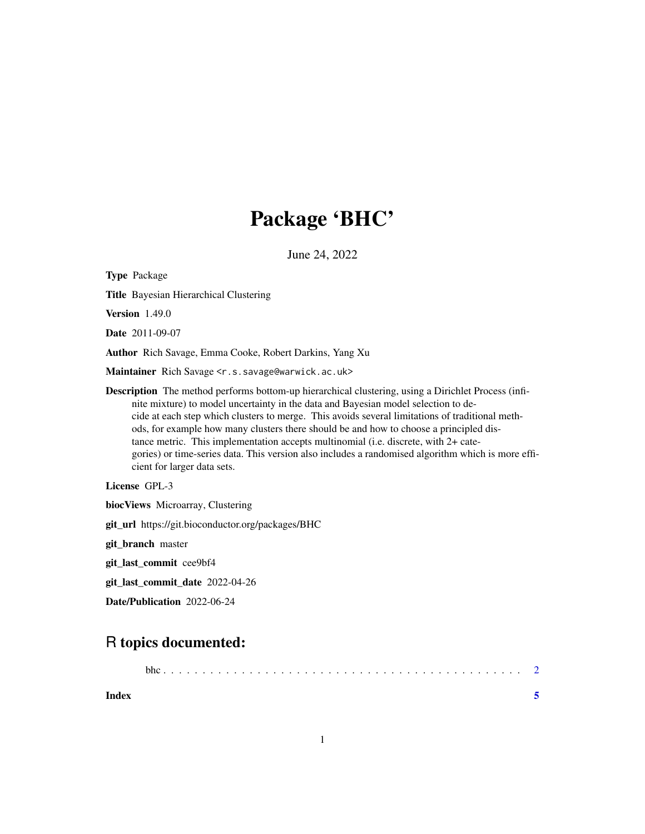## Package 'BHC'

June 24, 2022

<span id="page-0-0"></span>Type Package Title Bayesian Hierarchical Clustering Version 1.49.0 Date 2011-09-07 Author Rich Savage, Emma Cooke, Robert Darkins, Yang Xu Maintainer Rich Savage <r.s.savage@warwick.ac.uk> Description The method performs bottom-up hierarchical clustering, using a Dirichlet Process (infinite mixture) to model uncertainty in the data and Bayesian model selection to decide at each step which clusters to merge. This avoids several limitations of traditional methods, for example how many clusters there should be and how to choose a principled distance metric. This implementation accepts multinomial (i.e. discrete, with 2+ categories) or time-series data. This version also includes a randomised algorithm which is more efficient for larger data sets. License GPL-3 biocViews Microarray, Clustering git\_url https://git.bioconductor.org/packages/BHC git\_branch master git\_last\_commit cee9bf4

git\_last\_commit\_date 2022-04-26

Date/Publication 2022-06-24

### R topics documented:

**Index** [5](#page-4-0). The second state of the second state of the second state of the second state of the second state of the second state of the second state of the second state of the second state of the second state of the second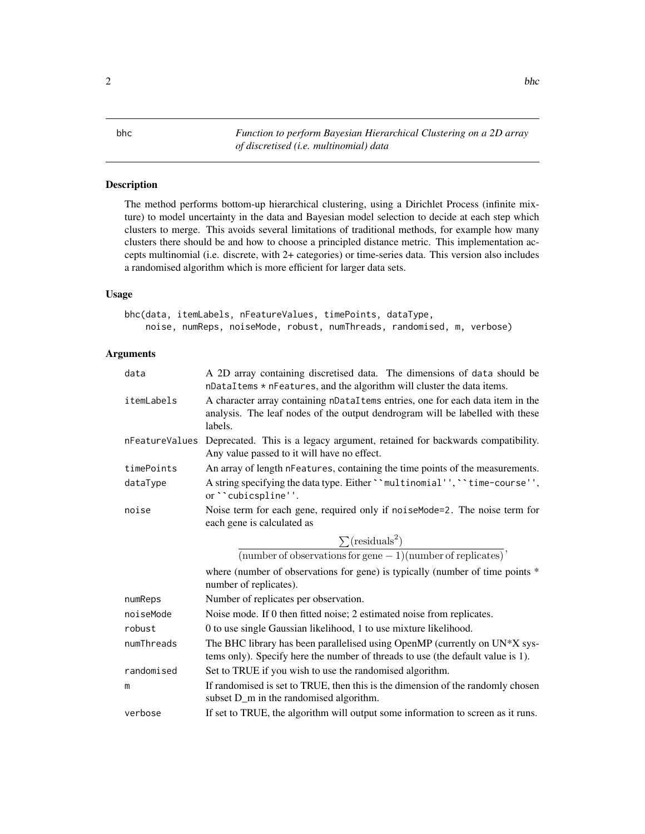<span id="page-1-0"></span>bhc *Function to perform Bayesian Hierarchical Clustering on a 2D array of discretised (i.e. multinomial) data*

#### Description

The method performs bottom-up hierarchical clustering, using a Dirichlet Process (infinite mixture) to model uncertainty in the data and Bayesian model selection to decide at each step which clusters to merge. This avoids several limitations of traditional methods, for example how many clusters there should be and how to choose a principled distance metric. This implementation accepts multinomial (i.e. discrete, with 2+ categories) or time-series data. This version also includes a randomised algorithm which is more efficient for larger data sets.

#### Usage

bhc(data, itemLabels, nFeatureValues, timePoints, dataType, noise, numReps, noiseMode, robust, numThreads, randomised, m, verbose)

#### Arguments

| data       | A 2D array containing discretised data. The dimensions of data should be<br>nDataItems * nFeatures, and the algorithm will cluster the data items.                         |
|------------|----------------------------------------------------------------------------------------------------------------------------------------------------------------------------|
| itemLabels | A character array containing nDataItems entries, one for each data item in the<br>analysis. The leaf nodes of the output dendrogram will be labelled with these<br>labels. |
|            | nFeatureValues Deprecated. This is a legacy argument, retained for backwards compatibility.<br>Any value passed to it will have no effect.                                 |
| timePoints | An array of length nFeatures, containing the time points of the measurements.                                                                                              |
| dataType   | A string specifying the data type. Either ``multinomial'', ``time-course'',<br>or "cubicspline".                                                                           |
| noise      | Noise term for each gene, required only if noiseMode=2. The noise term for<br>each gene is calculated as                                                                   |
|            | $\sum$ (residuals <sup>2</sup> )                                                                                                                                           |
|            | $\overline{\text{(number of observations for gene - 1)} \text{(number of replicates)}}$                                                                                    |
|            | where (number of observations for gene) is typically (number of time points *<br>number of replicates).                                                                    |
|            |                                                                                                                                                                            |
| numReps    | Number of replicates per observation.                                                                                                                                      |
| noiseMode  | Noise mode. If 0 then fitted noise; 2 estimated noise from replicates.                                                                                                     |
| robust     | 0 to use single Gaussian likelihood, 1 to use mixture likelihood.                                                                                                          |
| numThreads | The BHC library has been parallelised using OpenMP (currently on UN*X sys-<br>tems only). Specify here the number of threads to use (the default value is 1).              |
| randomised | Set to TRUE if you wish to use the randomised algorithm.                                                                                                                   |
| m          | If randomised is set to TRUE, then this is the dimension of the randomly chosen<br>subset D_m in the randomised algorithm.                                                 |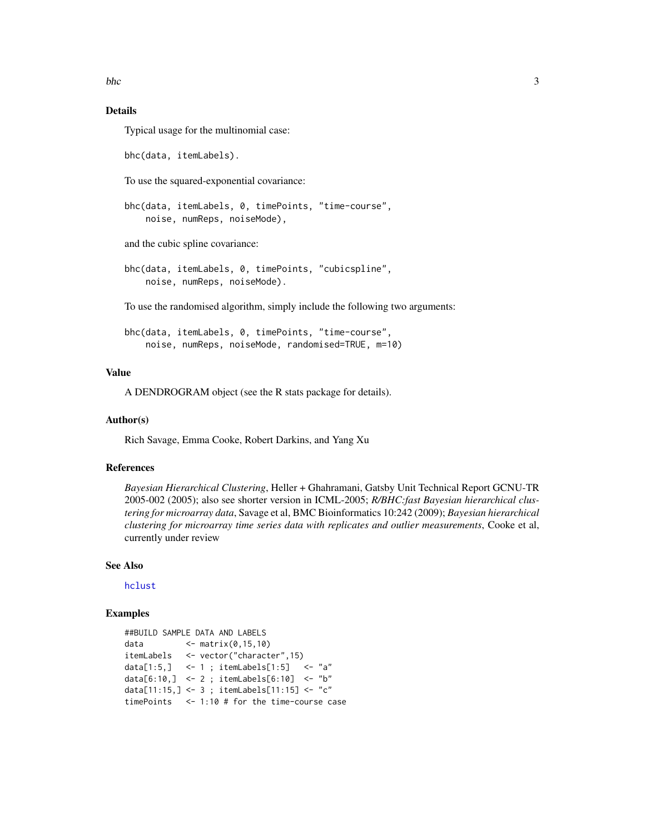<span id="page-2-0"></span>bhc 3

#### Details

Typical usage for the multinomial case:

bhc(data, itemLabels).

To use the squared-exponential covariance:

```
bhc(data, itemLabels, 0, timePoints, "time-course",
    noise, numReps, noiseMode),
```
and the cubic spline covariance:

bhc(data, itemLabels, 0, timePoints, "cubicspline", noise, numReps, noiseMode).

To use the randomised algorithm, simply include the following two arguments:

```
bhc(data, itemLabels, 0, timePoints, "time-course",
   noise, numReps, noiseMode, randomised=TRUE, m=10)
```
#### Value

A DENDROGRAM object (see the R stats package for details).

#### Author(s)

Rich Savage, Emma Cooke, Robert Darkins, and Yang Xu

#### References

*Bayesian Hierarchical Clustering*, Heller + Ghahramani, Gatsby Unit Technical Report GCNU-TR 2005-002 (2005); also see shorter version in ICML-2005; *R/BHC:fast Bayesian hierarchical clustering for microarray data*, Savage et al, BMC Bioinformatics 10:242 (2009); *Bayesian hierarchical clustering for microarray time series data with replicates and outlier measurements*, Cooke et al, currently under review

#### See Also

[hclust](#page-0-0)

#### Examples

```
##BUILD SAMPLE DATA AND LABELS
data <- matrix(0,15,10)
itemLabels <- vector("character",15)
data[1:5,] <- 1 ; itemLabels[1:5] <- "a"
data[6:10,] <- 2 ; itemLabels[6:10] <- "b"
data[11:15,] <- 3 ; itemLabels[11:15] <- "c"
timePoints <- 1:10 # for the time-course case
```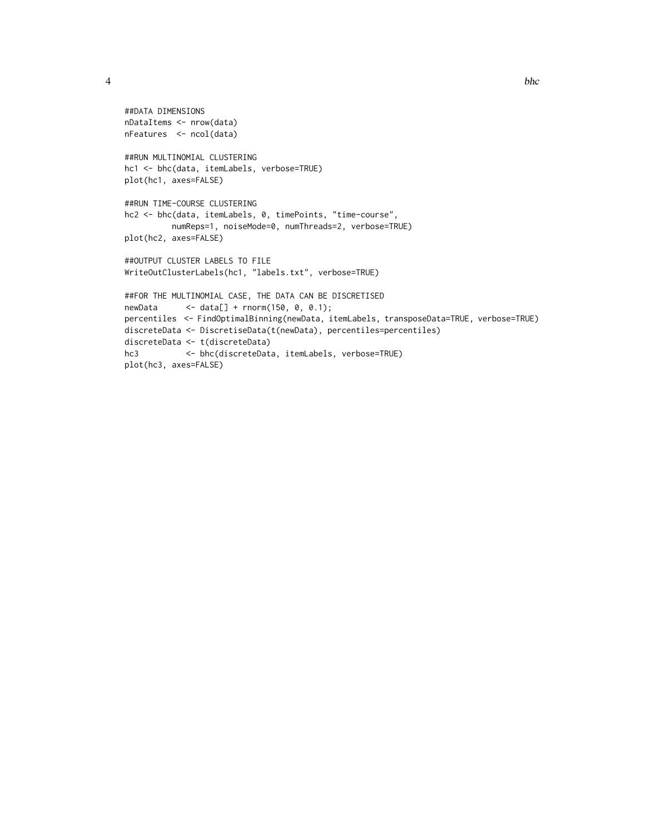4 bhc

```
##DATA DIMENSIONS
nDataItems <- nrow(data)
nFeatures <- ncol(data)
##RUN MULTINOMIAL CLUSTERING
hc1 <- bhc(data, itemLabels, verbose=TRUE)
plot(hc1, axes=FALSE)
##RUN TIME-COURSE CLUSTERING
hc2 <- bhc(data, itemLabels, 0, timePoints, "time-course",
         numReps=1, noiseMode=0, numThreads=2, verbose=TRUE)
plot(hc2, axes=FALSE)
##OUTPUT CLUSTER LABELS TO FILE
WriteOutClusterLabels(hc1, "labels.txt", verbose=TRUE)
##FOR THE MULTINOMIAL CASE, THE DATA CAN BE DISCRETISED
newData <- data[] + rnorm(150, 0, 0.1);
percentiles <- FindOptimalBinning(newData, itemLabels, transposeData=TRUE, verbose=TRUE)
discreteData <- DiscretiseData(t(newData), percentiles=percentiles)
discreteData <- t(discreteData)
hc3 <- bhc(discreteData, itemLabels, verbose=TRUE)
plot(hc3, axes=FALSE)
```